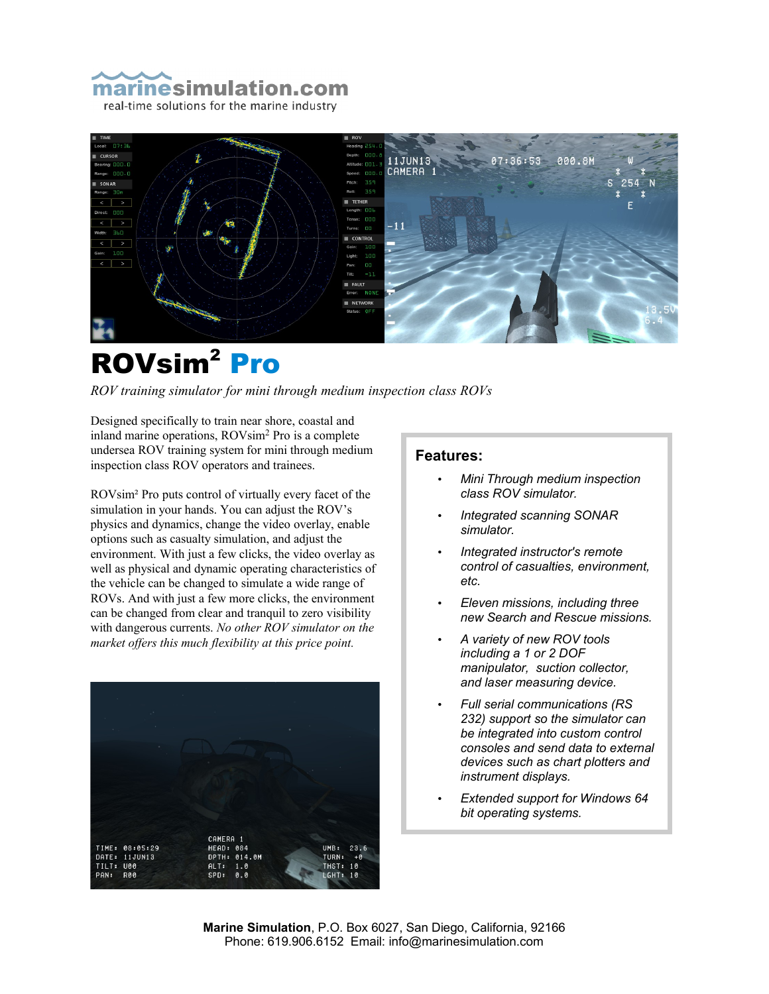



# ROVsim<sup>2</sup> Pro

*ROV training simulator for mini through medium inspection class ROVs*

Designed specifically to train near shore, coastal and inland marine operations, ROVsim<sup>2</sup> Pro is a complete undersea ROV training system for mini through medium inspection class ROV operators and trainees.

ROVsim² Pro puts control of virtually every facet of the simulation in your hands. You can adjust the ROV's physics and dynamics, change the video overlay, enable options such as casualty simulation, and adjust the environment. With just a few clicks, the video overlay as well as physical and dynamic operating characteristics of the vehicle can be changed to simulate a wide range of ROVs. And with just a few more clicks, the environment can be changed from clear and tranquil to zero visibility with dangerous currents. *No other ROV simulator on the market offers this much flexibility at this price point.*



### **Features:**

- *Mini Through medium inspection class ROV simulator.*
- *Integrated scanning SONAR simulator.*
- *Integrated instructor's remote control of casualties, environment, etc.*
- *Eleven missions, including three new Search and Rescue missions.*
- *A variety of new ROV tools including a 1 or 2 DOF manipulator, suction collector, and laser measuring device.*
- *Full serial communications (RS 232) support so the simulator can be integrated into custom control consoles and send data to external devices such as chart plotters and instrument displays.*
- *Extended support for Windows 64 bit operating systems.*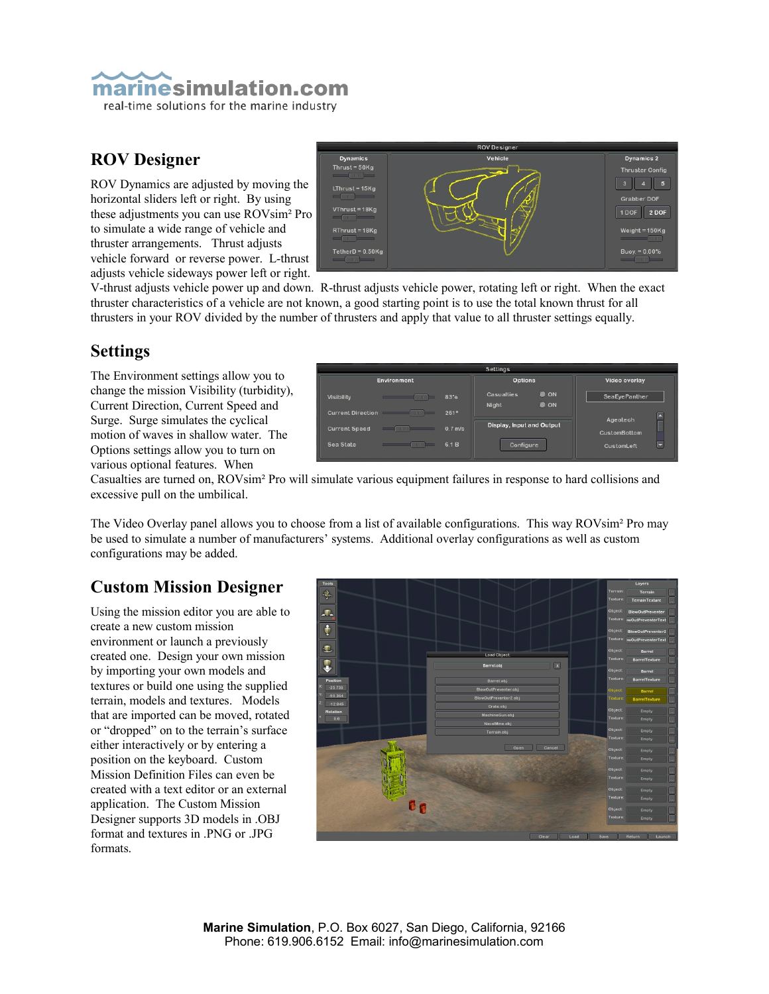

### **ROV Designer**

ROV Dynamics are adjusted by moving the horizontal sliders left or right. By using these adjustments you can use ROVsim² Pro to simulate a wide range of vehicle and thruster arrangements. Thrust adjusts vehicle forward or reverse power. L-thrust adjusts vehicle sideways power left or right.



V-thrust adjusts vehicle power up and down. R-thrust adjusts vehicle power, rotating left or right. When the exact thruster characteristics of a vehicle are not known, a good starting point is to use the total known thrust for all thrusters in your ROV divided by the number of thrusters and apply that value to all thruster settings equally.

### **Settings**

The Environment settings allow you to change the mission Visibility (turbidity), Current Direction, Current Speed and Surge. Surge simulates the cyclical motion of waves in shallow water. The Options settings allow you to turn on various optional features. When

| <b>Settings</b>                                                            |                                                          |                          |
|----------------------------------------------------------------------------|----------------------------------------------------------|--------------------------|
| Environment                                                                | <b>Options</b>                                           | Video overlay            |
| <b>Visibility</b><br>$\frac{1}{2}$                                         | <b>O</b> ON<br><b>Casualties</b><br>83%<br>O ON<br>Night | <b>SeaEyePanther</b>     |
| <b>Current Direction</b><br>$\mathbb{R}$ and $\mathbb{R}$ and $\mathbb{R}$ | 261°                                                     |                          |
| <b>Current Speed</b><br>$\overline{\phantom{a}}$<br>$-111$                 | Display, Input and Output<br>$0.7$ m/s.                  | Ageotech<br>CustomBottom |
| Sea State<br><b>Committee</b><br>-                                         | 6.1 B<br>Configure                                       | CustomLeft               |

Casualties are turned on, ROVsim² Pro will simulate various equipment failures in response to hard collisions and excessive pull on the umbilical.

The Video Overlay panel allows you to choose from a list of available configurations. This way ROVsim² Pro may be used to simulate a number of manufacturers' systems. Additional overlay configurations as well as custom configurations may be added.

### **Custom Mission Designer**

Using the mission editor you are able to create a new custom mission environment or launch a previously created one. Design your own mission by importing your own models and textures or build one using the supplied terrain, models and textures. Models that are imported can be moved, rotated or "dropped" on to the terrain's surface either interactively or by entering a position on the keyboard. Custom Mission Definition Files can even be created with a text editor or an external application. The Custom Mission Designer supports 3D models in .OBJ format and textures in .PNG or .JPG formats.

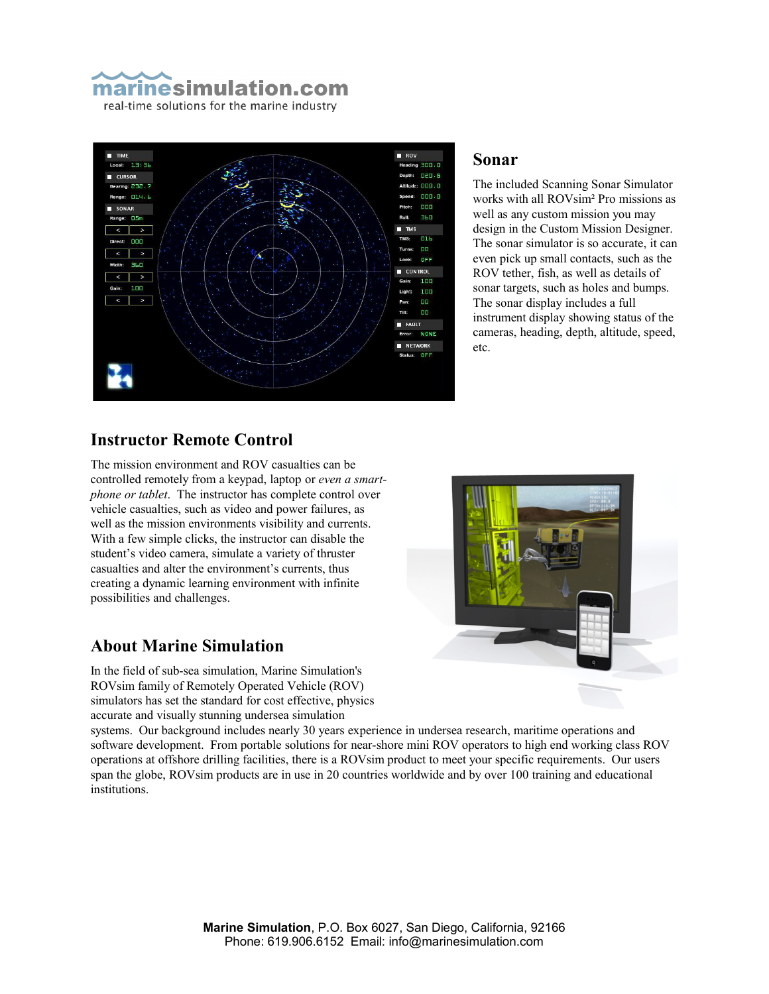



### **Sonar**

The included Scanning Sonar Simulator works with all ROVsim² Pro missions as well as any custom mission you may design in the Custom Mission Designer. The sonar simulator is so accurate, it can even pick up small contacts, such as the ROV tether, fish, as well as details of sonar targets, such as holes and bumps. The sonar display includes a full instrument display showing status of the cameras, heading, depth, altitude, speed, etc.

### **Instructor Remote Control**

The mission environment and ROV casualties can be controlled remotely from a keypad, laptop or *even a smartphone or tablet*. The instructor has complete control over vehicle casualties, such as video and power failures, as well as the mission environments visibility and currents. With a few simple clicks, the instructor can disable the student's video camera, simulate a variety of thruster casualties and alter the environment's currents, thus creating a dynamic learning environment with infinite possibilities and challenges.

### **About Marine Simulation**

In the field of sub-sea simulation, Marine Simulation's ROVsim family of Remotely Operated Vehicle (ROV) simulators has set the standard for cost effective, physics accurate and visually stunning undersea simulation

systems. Our background includes nearly 30 years experience in undersea research, maritime operations and software development. From portable solutions for near-shore mini ROV operators to high end working class ROV operations at offshore drilling facilities, there is a ROVsim product to meet your specific requirements. Our users span the globe, ROVsim products are in use in 20 countries worldwide and by over 100 training and educational institutions.

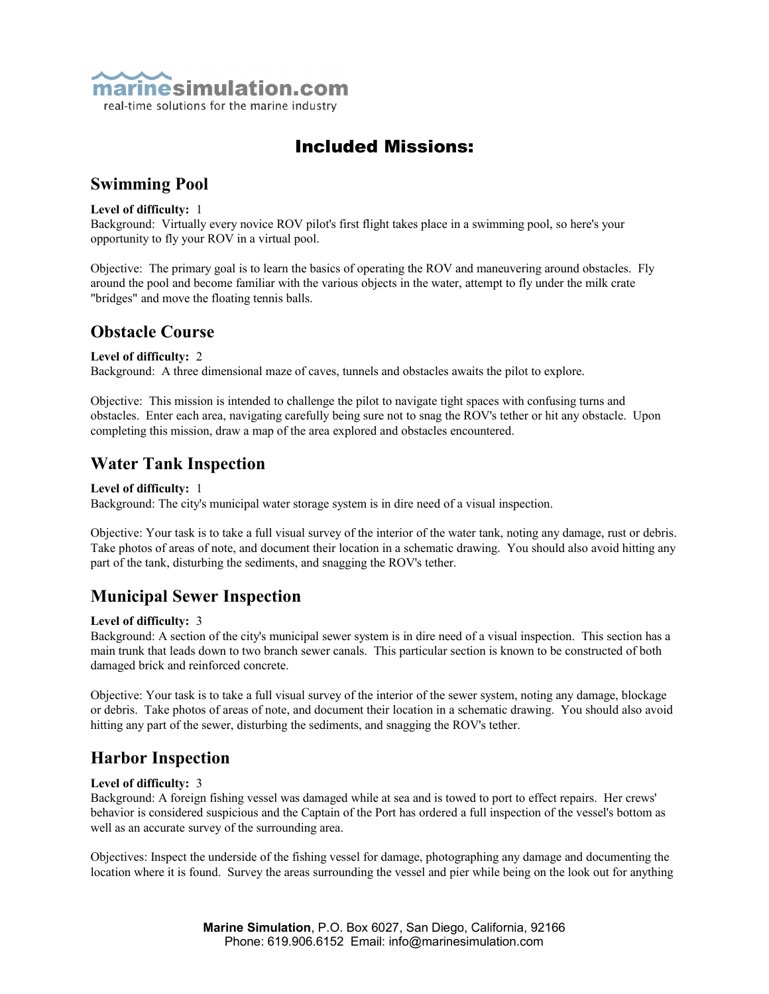

### Included Missions:

### **Swimming Pool**

#### **Level of difficulty:** 1

Background: Virtually every novice ROV pilot's first flight takes place in a swimming pool, so here's your opportunity to fly your ROV in a virtual pool.

Objective: The primary goal is to learn the basics of operating the ROV and maneuvering around obstacles. Fly around the pool and become familiar with the various objects in the water, attempt to fly under the milk crate "bridges" and move the floating tennis balls.

### **Obstacle Course**

#### **Level of difficulty:** 2

Background: A three dimensional maze of caves, tunnels and obstacles awaits the pilot to explore.

Objective: This mission is intended to challenge the pilot to navigate tight spaces with confusing turns and obstacles. Enter each area, navigating carefully being sure not to snag the ROV's tether or hit any obstacle. Upon completing this mission, draw a map of the area explored and obstacles encountered.

### **Water Tank Inspection**

#### **Level of difficulty:** 1

Background: The city's municipal water storage system is in dire need of a visual inspection.

Objective: Your task is to take a full visual survey of the interior of the water tank, noting any damage, rust or debris. Take photos of areas of note, and document their location in a schematic drawing. You should also avoid hitting any part of the tank, disturbing the sediments, and snagging the ROV's tether.

### **Municipal Sewer Inspection**

#### **Level of difficulty:** 3

Background: A section of the city's municipal sewer system is in dire need of a visual inspection. This section has a main trunk that leads down to two branch sewer canals. This particular section is known to be constructed of both damaged brick and reinforced concrete.

Objective: Your task is to take a full visual survey of the interior of the sewer system, noting any damage, blockage or debris. Take photos of areas of note, and document their location in a schematic drawing. You should also avoid hitting any part of the sewer, disturbing the sediments, and snagging the ROV's tether.

### **Harbor Inspection**

#### **Level of difficulty:** 3

Background: A foreign fishing vessel was damaged while at sea and is towed to port to effect repairs. Her crews' behavior is considered suspicious and the Captain of the Port has ordered a full inspection of the vessel's bottom as well as an accurate survey of the surrounding area.

Objectives: Inspect the underside of the fishing vessel for damage, photographing any damage and documenting the location where it is found. Survey the areas surrounding the vessel and pier while being on the look out for anything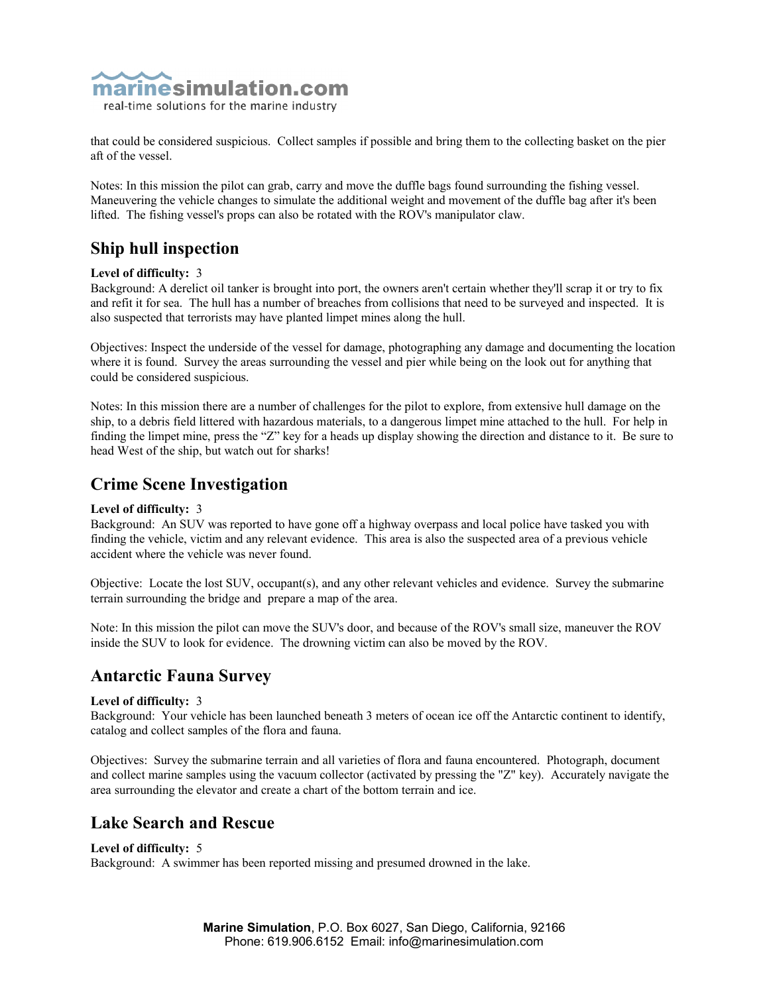

that could be considered suspicious. Collect samples if possible and bring them to the collecting basket on the pier aft of the vessel.

Notes: In this mission the pilot can grab, carry and move the duffle bags found surrounding the fishing vessel. Maneuvering the vehicle changes to simulate the additional weight and movement of the duffle bag after it's been lifted. The fishing vessel's props can also be rotated with the ROV's manipulator claw.

### **Ship hull inspection**

#### **Level of difficulty:** 3

Background: A derelict oil tanker is brought into port, the owners aren't certain whether they'll scrap it or try to fix and refit it for sea. The hull has a number of breaches from collisions that need to be surveyed and inspected. It is also suspected that terrorists may have planted limpet mines along the hull.

Objectives: Inspect the underside of the vessel for damage, photographing any damage and documenting the location where it is found. Survey the areas surrounding the vessel and pier while being on the look out for anything that could be considered suspicious.

Notes: In this mission there are a number of challenges for the pilot to explore, from extensive hull damage on the ship, to a debris field littered with hazardous materials, to a dangerous limpet mine attached to the hull. For help in finding the limpet mine, press the "Z" key for a heads up display showing the direction and distance to it. Be sure to head West of the ship, but watch out for sharks!

### **Crime Scene Investigation**

### **Level of difficulty:** 3

Background: An SUV was reported to have gone off a highway overpass and local police have tasked you with finding the vehicle, victim and any relevant evidence. This area is also the suspected area of a previous vehicle accident where the vehicle was never found.

Objective: Locate the lost SUV, occupant(s), and any other relevant vehicles and evidence. Survey the submarine terrain surrounding the bridge and prepare a map of the area.

Note: In this mission the pilot can move the SUV's door, and because of the ROV's small size, maneuver the ROV inside the SUV to look for evidence. The drowning victim can also be moved by the ROV.

### **Antarctic Fauna Survey**

#### **Level of difficulty:** 3

Background: Your vehicle has been launched beneath 3 meters of ocean ice off the Antarctic continent to identify, catalog and collect samples of the flora and fauna.

Objectives: Survey the submarine terrain and all varieties of flora and fauna encountered. Photograph, document and collect marine samples using the vacuum collector (activated by pressing the "Z" key). Accurately navigate the area surrounding the elevator and create a chart of the bottom terrain and ice.

### **Lake Search and Rescue**

### **Level of difficulty:** 5

Background: A swimmer has been reported missing and presumed drowned in the lake.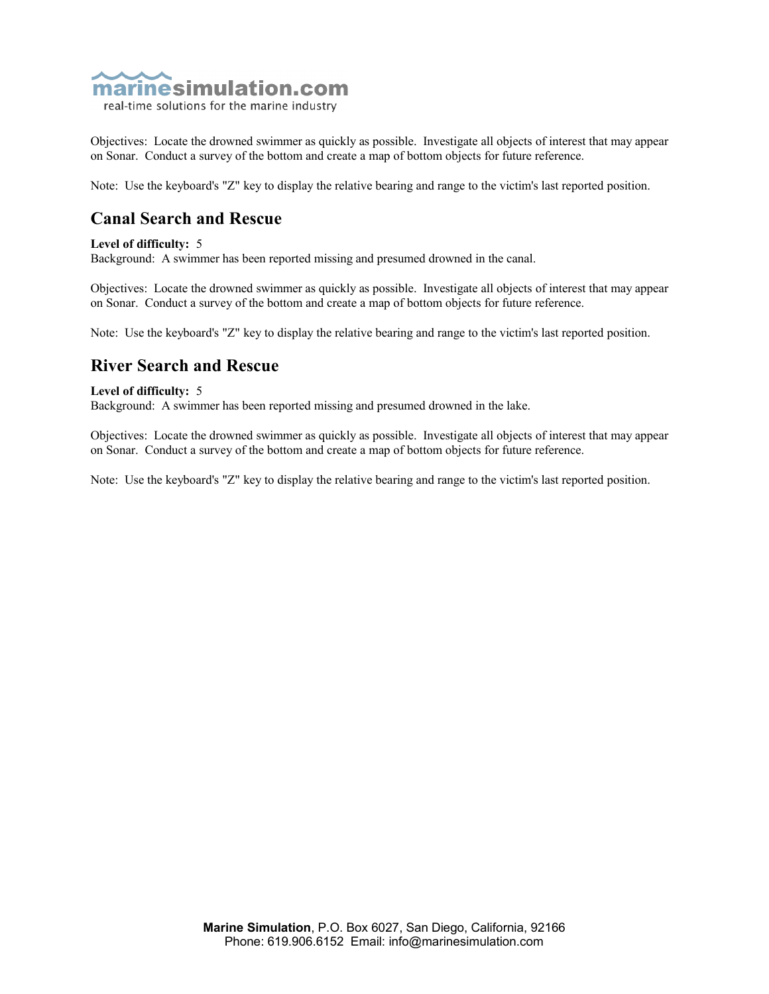

real-time solutions for the marine industry

Objectives: Locate the drowned swimmer as quickly as possible. Investigate all objects of interest that may appear on Sonar. Conduct a survey of the bottom and create a map of bottom objects for future reference.

Note: Use the keyboard's "Z" key to display the relative bearing and range to the victim's last reported position.

### **Canal Search and Rescue**

#### **Level of difficulty:** 5

Background: A swimmer has been reported missing and presumed drowned in the canal.

Objectives: Locate the drowned swimmer as quickly as possible. Investigate all objects of interest that may appear on Sonar. Conduct a survey of the bottom and create a map of bottom objects for future reference.

Note: Use the keyboard's "Z" key to display the relative bearing and range to the victim's last reported position.

### **River Search and Rescue**

#### **Level of difficulty:** 5

Background: A swimmer has been reported missing and presumed drowned in the lake.

Objectives: Locate the drowned swimmer as quickly as possible. Investigate all objects of interest that may appear on Sonar. Conduct a survey of the bottom and create a map of bottom objects for future reference.

Note: Use the keyboard's "Z" key to display the relative bearing and range to the victim's last reported position.